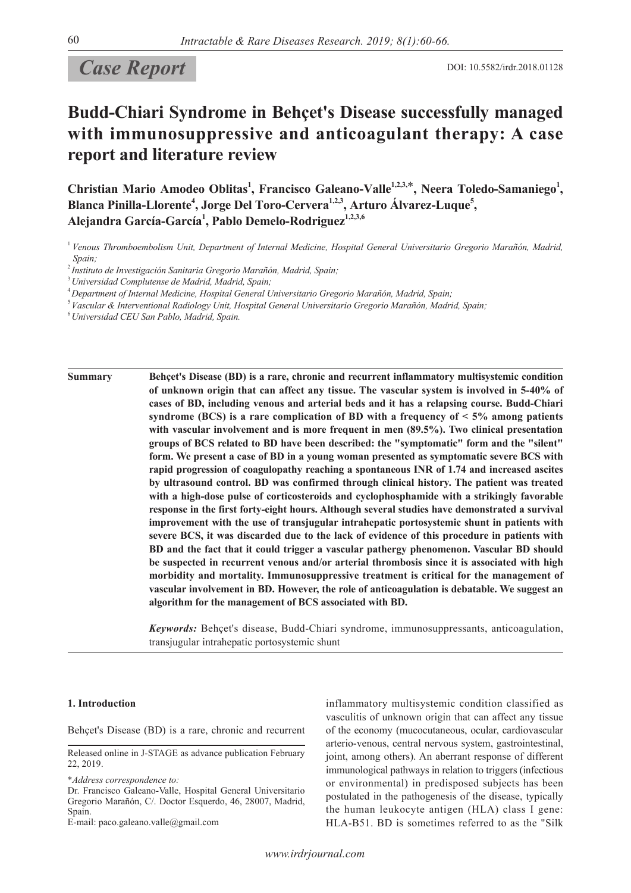# **Case Report** DOI: 10.5582/irdr.2018.01128

# **Budd-Chiari Syndrome in Behçet's Disease successfully managed with immunosuppressive and anticoagulant therapy: A case report and literature review**

Christian Mario Amodeo Oblitas<sup>1</sup>, Francisco Galeano-Valle<sup>1,2,3,\*</sup>, Neera Toledo-Samaniego<sup>1</sup>, Blanca Pinilla-Llorente<sup>4</sup>, Jorge Del Toro-Cervera<sup>1,2,3</sup>, Arturo Álvarez-Luque<sup>5</sup>, **Alejandra García-García1 , Pablo Demelo-Rodriguez1,2,3,6**

<sup>1</sup>*Venous Thromboembolism Unit, Department of Internal Medicine, Hospital General Universitario Gregorio Marañón, Madrid, Spain;*

<sup>6</sup>*Universidad CEU San Pablo, Madrid, Spain.*

**Summary Behçet's Disease (BD) is a rare, chronic and recurrent inflammatory multisystemic condition of unknown origin that can affect any tissue. The vascular system is involved in 5-40% of cases of BD, including venous and arterial beds and it has a relapsing course. Budd-Chiari syndrome (BCS) is a rare complication of BD with a frequency of < 5% among patients with vascular involvement and is more frequent in men (89.5%). Two clinical presentation groups of BCS related to BD have been described: the "symptomatic" form and the "silent" form. We present a case of BD in a young woman presented as symptomatic severe BCS with rapid progression of coagulopathy reaching a spontaneous INR of 1.74 and increased ascites by ultrasound control. BD was confirmed through clinical history. The patient was treated with a high-dose pulse of corticosteroids and cyclophosphamide with a strikingly favorable response in the first forty-eight hours. Although several studies have demonstrated a survival improvement with the use of transjugular intrahepatic portosystemic shunt in patients with severe BCS, it was discarded due to the lack of evidence of this procedure in patients with BD and the fact that it could trigger a vascular pathergy phenomenon. Vascular BD should be suspected in recurrent venous and/or arterial thrombosis since it is associated with high morbidity and mortality. Immunosuppressive treatment is critical for the management of vascular involvement in BD. However, the role of anticoagulation is debatable. We suggest an algorithm for the management of BCS associated with BD.**

> *Keywords:* Behçet's disease, Budd-Chiari syndrome, immunosuppressants, anticoagulation, transjugular intrahepatic portosystemic shunt

### **1. Introduction**

Behçet's Disease (BD) is a rare, chronic and recurrent

E-mail: paco.galeano.valle@gmail.com

inflammatory multisystemic condition classified as vasculitis of unknown origin that can affect any tissue of the economy (mucocutaneous, ocular, cardiovascular arterio-venous, central nervous system, gastrointestinal, joint, among others). An aberrant response of different immunological pathways in relation to triggers (infectious or environmental) in predisposed subjects has been postulated in the pathogenesis of the disease, typically the human leukocyte antigen (HLA) class I gene: HLA-B51. BD is sometimes referred to as the "Silk

<sup>2</sup>*Instituto de Investigación Sanitaria Gregorio Marañón, Madrid, Spain;*

<sup>3</sup>*Universidad Complutense de Madrid, Madrid, Spain;*

<sup>4</sup>*Department of Internal Medicine, Hospital General Universitario Gregorio Marañón, Madrid, Spain;*

<sup>5</sup>*Vascular & Interventional Radiology Unit, Hospital General Universitario Gregorio Marañón, Madrid, Spain;*

Released online in J-STAGE as advance publication February 22, 2019.

<sup>\*</sup>*Address correspondence to:*

Dr. Francisco Galeano-Valle, Hospital General Universitario Gregorio Marañón, C/. Doctor Esquerdo, 46, 28007, Madrid, Spain.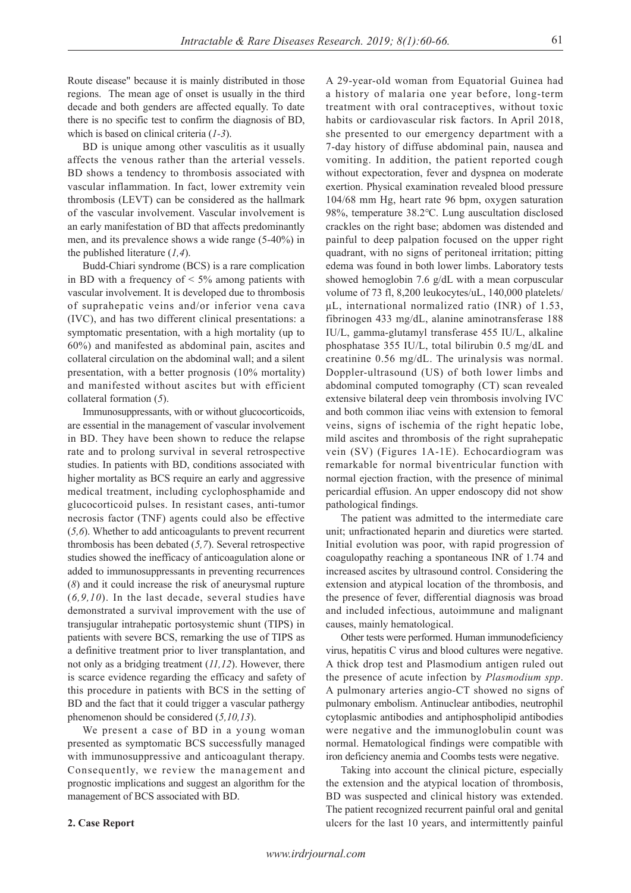Route disease" because it is mainly distributed in those regions. The mean age of onset is usually in the third decade and both genders are affected equally. To date there is no specific test to confirm the diagnosis of BD, which is based on clinical criteria (*1-3*).

BD is unique among other vasculitis as it usually affects the venous rather than the arterial vessels. BD shows a tendency to thrombosis associated with vascular inflammation. In fact, lower extremity vein thrombosis (LEVT) can be considered as the hallmark of the vascular involvement. Vascular involvement is an early manifestation of BD that affects predominantly men, and its prevalence shows a wide range (5-40%) in the published literature (*1,4*).

Budd-Chiari syndrome (BCS) is a rare complication in BD with a frequency of  $\leq 5\%$  among patients with vascular involvement. It is developed due to thrombosis of suprahepatic veins and/or inferior vena cava (IVC), and has two different clinical presentations: a symptomatic presentation, with a high mortality (up to 60%) and manifested as abdominal pain, ascites and collateral circulation on the abdominal wall; and a silent presentation, with a better prognosis (10% mortality) and manifested without ascites but with efficient collateral formation (*5*).

Immunosuppressants, with or without glucocorticoids, are essential in the management of vascular involvement in BD. They have been shown to reduce the relapse rate and to prolong survival in several retrospective studies. In patients with BD, conditions associated with higher mortality as BCS require an early and aggressive medical treatment, including cyclophosphamide and glucocorticoid pulses. In resistant cases, anti-tumor necrosis factor (TNF) agents could also be effective (*5,6*). Whether to add anticoagulants to prevent recurrent thrombosis has been debated (*5,7*). Several retrospective studies showed the inefficacy of anticoagulation alone or added to immunosuppressants in preventing recurrences (*8*) and it could increase the risk of aneurysmal rupture (*6,9,10*). In the last decade, several studies have demonstrated a survival improvement with the use of transjugular intrahepatic portosystemic shunt (TIPS) in patients with severe BCS, remarking the use of TIPS as a definitive treatment prior to liver transplantation, and not only as a bridging treatment (*11,12*). However, there is scarce evidence regarding the efficacy and safety of this procedure in patients with BCS in the setting of BD and the fact that it could trigger a vascular pathergy phenomenon should be considered (*5,10,13*).

We present a case of BD in a young woman presented as symptomatic BCS successfully managed with immunosuppressive and anticoagulant therapy. Consequently, we review the management and prognostic implications and suggest an algorithm for the management of BCS associated with BD.

A 29-year-old woman from Equatorial Guinea had a history of malaria one year before, long-term treatment with oral contraceptives, without toxic habits or cardiovascular risk factors. In April 2018, she presented to our emergency department with a 7-day history of diffuse abdominal pain, nausea and vomiting. In addition, the patient reported cough without expectoration, fever and dyspnea on moderate exertion. Physical examination revealed blood pressure 104/68 mm Hg, heart rate 96 bpm, oxygen saturation 98%, temperature 38.2℃. Lung auscultation disclosed crackles on the right base; abdomen was distended and painful to deep palpation focused on the upper right quadrant, with no signs of peritoneal irritation; pitting edema was found in both lower limbs. Laboratory tests showed hemoglobin 7.6 g/dL with a mean corpuscular volume of 73 fl, 8,200 leukocytes/uL, 140,000 platelets/ μL, international normalized ratio (INR) of 1.53, fibrinogen 433 mg/dL, alanine aminotransferase 188 IU/L, gamma-glutamyl transferase 455 IU/L, alkaline phosphatase 355 IU/L, total bilirubin 0.5 mg/dL and creatinine 0.56 mg/dL. The urinalysis was normal. Doppler-ultrasound (US) of both lower limbs and abdominal computed tomography (CT) scan revealed extensive bilateral deep vein thrombosis involving IVC and both common iliac veins with extension to femoral veins, signs of ischemia of the right hepatic lobe, mild ascites and thrombosis of the right suprahepatic vein (SV) (Figures 1A-1E). Echocardiogram was remarkable for normal biventricular function with normal ejection fraction, with the presence of minimal pericardial effusion. An upper endoscopy did not show pathological findings.

The patient was admitted to the intermediate care unit; unfractionated heparin and diuretics were started. Initial evolution was poor, with rapid progression of coagulopathy reaching a spontaneous INR of 1.74 and increased ascites by ultrasound control. Considering the extension and atypical location of the thrombosis, and the presence of fever, differential diagnosis was broad and included infectious, autoimmune and malignant causes, mainly hematological.

Other tests were performed. Human immunodeficiency virus, hepatitis C virus and blood cultures were negative. A thick drop test and Plasmodium antigen ruled out the presence of acute infection by *Plasmodium spp*. A pulmonary arteries angio-CT showed no signs of pulmonary embolism. Antinuclear antibodies, neutrophil cytoplasmic antibodies and antiphospholipid antibodies were negative and the immunoglobulin count was normal. Hematological findings were compatible with iron deficiency anemia and Coombs tests were negative.

Taking into account the clinical picture, especially the extension and the atypical location of thrombosis, BD was suspected and clinical history was extended. The patient recognized recurrent painful oral and genital ulcers for the last 10 years, and intermittently painful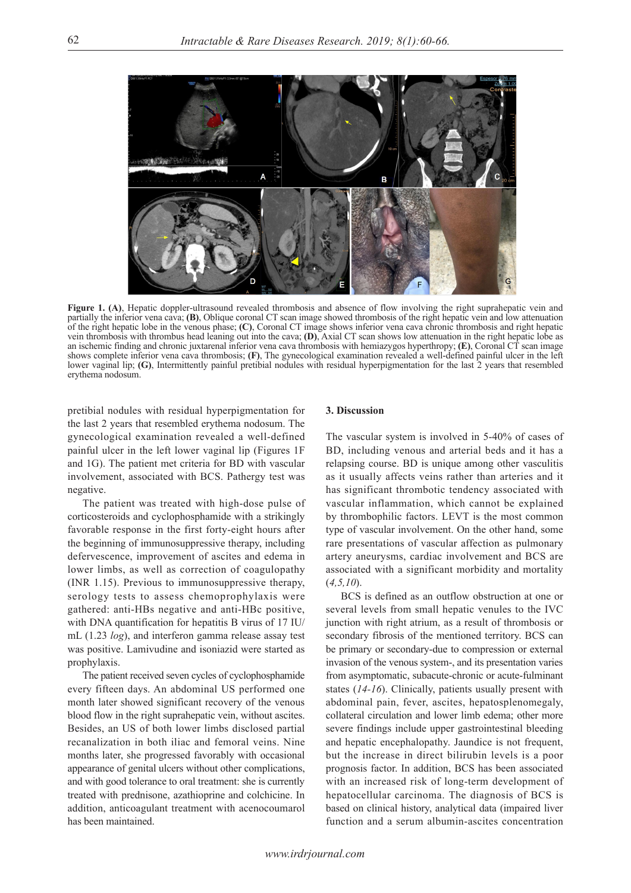

**Figure 1. (A)**, Hepatic doppler-ultrasound revealed thrombosis and absence of flow involving the right suprahepatic vein and partially the inferior vena cava; **(B)**, Oblique coronal CT scan image showed thrombosis of the right hepatic vein and low attenuation of the right hepatic lobe in the venous phase; **(C)**, Coronal CT image shows inferior vena cava chronic thrombosis and right hepatic vein thrombosis with thrombus head leaning out into the cava; **(D)**, Axial CT scan shows low attenuation in the right hepatic lobe as an ischemic finding and chronic juxtarenal inferior vena cava thrombosis with hemiazygos hyperthropy; **(E)**, Coronal CT scan image shows complete inferior vena cava thrombosis; **(F)**, The gynecological examination revealed a well-defined painful ulcer in the left lower vaginal lip; **(G)**, Intermittently painful pretibial nodules with residual hyperpigmentation for the last 2 years that resembled erythema nodosum.

pretibial nodules with residual hyperpigmentation for the last 2 years that resembled erythema nodosum. The gynecological examination revealed a well-defined painful ulcer in the left lower vaginal lip (Figures 1F and 1G). The patient met criteria for BD with vascular involvement, associated with BCS. Pathergy test was negative.

The patient was treated with high-dose pulse of corticosteroids and cyclophosphamide with a strikingly favorable response in the first forty-eight hours after the beginning of immunosuppressive therapy, including defervescence, improvement of ascites and edema in lower limbs, as well as correction of coagulopathy (INR 1.15). Previous to immunosuppressive therapy, serology tests to assess chemoprophylaxis were gathered: anti-HBs negative and anti-HBc positive, with DNA quantification for hepatitis B virus of 17 IU/ mL (1.23 *log*), and interferon gamma release assay test was positive. Lamivudine and isoniazid were started as prophylaxis.

The patient received seven cycles of cyclophosphamide every fifteen days. An abdominal US performed one month later showed significant recovery of the venous blood flow in the right suprahepatic vein, without ascites. Besides, an US of both lower limbs disclosed partial recanalization in both iliac and femoral veins. Nine months later, she progressed favorably with occasional appearance of genital ulcers without other complications, and with good tolerance to oral treatment: she is currently treated with prednisone, azathioprine and colchicine. In addition, anticoagulant treatment with acenocoumarol has been maintained.

### **3. Discussion**

The vascular system is involved in 5-40% of cases of BD, including venous and arterial beds and it has a relapsing course. BD is unique among other vasculitis as it usually affects veins rather than arteries and it has significant thrombotic tendency associated with vascular inflammation, which cannot be explained by thrombophilic factors. LEVT is the most common type of vascular involvement. On the other hand, some rare presentations of vascular affection as pulmonary artery aneurysms, cardiac involvement and BCS are associated with a significant morbidity and mortality (*4,5,10*).

BCS is defined as an outflow obstruction at one or several levels from small hepatic venules to the IVC junction with right atrium, as a result of thrombosis or secondary fibrosis of the mentioned territory. BCS can be primary or secondary-due to compression or external invasion of the venous system-, and its presentation varies from asymptomatic, subacute-chronic or acute-fulminant states (*14-16*). Clinically, patients usually present with abdominal pain, fever, ascites, hepatosplenomegaly, collateral circulation and lower limb edema; other more severe findings include upper gastrointestinal bleeding and hepatic encephalopathy. Jaundice is not frequent, but the increase in direct bilirubin levels is a poor prognosis factor. In addition, BCS has been associated with an increased risk of long-term development of hepatocellular carcinoma. The diagnosis of BCS is based on clinical history, analytical data (impaired liver function and a serum albumin-ascites concentration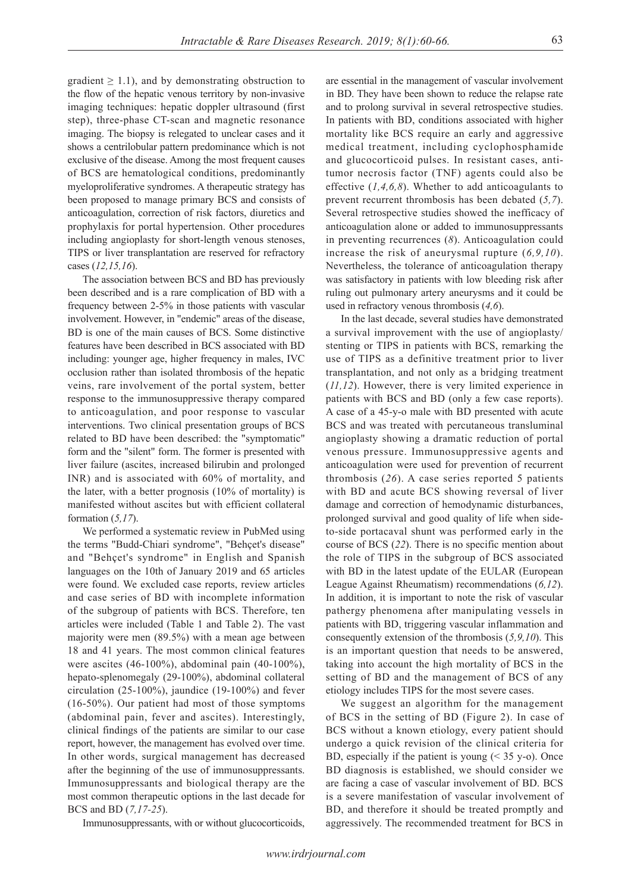gradient  $\geq 1.1$ ), and by demonstrating obstruction to the flow of the hepatic venous territory by non-invasive imaging techniques: hepatic doppler ultrasound (first step), three-phase CT-scan and magnetic resonance imaging. The biopsy is relegated to unclear cases and it shows a centrilobular pattern predominance which is not exclusive of the disease. Among the most frequent causes of BCS are hematological conditions, predominantly myeloproliferative syndromes. A therapeutic strategy has been proposed to manage primary BCS and consists of anticoagulation, correction of risk factors, diuretics and prophylaxis for portal hypertension. Other procedures including angioplasty for short-length venous stenoses, TIPS or liver transplantation are reserved for refractory cases (*12,15,16*).

The association between BCS and BD has previously been described and is a rare complication of BD with a frequency between 2-5% in those patients with vascular involvement. However, in "endemic" areas of the disease, BD is one of the main causes of BCS. Some distinctive features have been described in BCS associated with BD including: younger age, higher frequency in males, IVC occlusion rather than isolated thrombosis of the hepatic veins, rare involvement of the portal system, better response to the immunosuppressive therapy compared to anticoagulation, and poor response to vascular interventions. Two clinical presentation groups of BCS related to BD have been described: the "symptomatic" form and the "silent" form. The former is presented with liver failure (ascites, increased bilirubin and prolonged INR) and is associated with 60% of mortality, and the later, with a better prognosis (10% of mortality) is manifested without ascites but with efficient collateral formation (*5,17*).

We performed a systematic review in PubMed using the terms "Budd-Chiari syndrome", "Behçet's disease" and "Behçet's syndrome" in English and Spanish languages on the 10th of January 2019 and 65 articles were found. We excluded case reports, review articles and case series of BD with incomplete information of the subgroup of patients with BCS. Therefore, ten articles were included (Table 1 and Table 2). The vast majority were men (89.5%) with a mean age between 18 and 41 years. The most common clinical features were ascites (46-100%), abdominal pain (40-100%), hepato-splenomegaly (29-100%), abdominal collateral circulation (25-100%), jaundice (19-100%) and fever (16-50%). Our patient had most of those symptoms (abdominal pain, fever and ascites). Interestingly, clinical findings of the patients are similar to our case report, however, the management has evolved over time. In other words, surgical management has decreased after the beginning of the use of immunosuppressants. Immunosuppressants and biological therapy are the most common therapeutic options in the last decade for BCS and BD (*7,17-25*).

Immunosuppressants, with or without glucocorticoids,

are essential in the management of vascular involvement in BD. They have been shown to reduce the relapse rate and to prolong survival in several retrospective studies. In patients with BD, conditions associated with higher mortality like BCS require an early and aggressive medical treatment, including cyclophosphamide and glucocorticoid pulses. In resistant cases, antitumor necrosis factor (TNF) agents could also be effective (*1,4,6,8*). Whether to add anticoagulants to prevent recurrent thrombosis has been debated (*5,7*). Several retrospective studies showed the inefficacy of anticoagulation alone or added to immunosuppressants in preventing recurrences (*8*). Anticoagulation could increase the risk of aneurysmal rupture (*6,9,10*). Nevertheless, the tolerance of anticoagulation therapy was satisfactory in patients with low bleeding risk after ruling out pulmonary artery aneurysms and it could be used in refractory venous thrombosis (*4,6*).

In the last decade, several studies have demonstrated a survival improvement with the use of angioplasty/ stenting or TIPS in patients with BCS, remarking the use of TIPS as a definitive treatment prior to liver transplantation, and not only as a bridging treatment (*11,12*). However, there is very limited experience in patients with BCS and BD (only a few case reports). A case of a 45-y-o male with BD presented with acute BCS and was treated with percutaneous transluminal angioplasty showing a dramatic reduction of portal venous pressure. Immunosuppressive agents and anticoagulation were used for prevention of recurrent thrombosis (*26*). A case series reported 5 patients with BD and acute BCS showing reversal of liver damage and correction of hemodynamic disturbances, prolonged survival and good quality of life when sideto-side portacaval shunt was performed early in the course of BCS (*22*). There is no specific mention about the role of TIPS in the subgroup of BCS associated with BD in the latest update of the EULAR (European League Against Rheumatism) recommendations (*6,12*). In addition, it is important to note the risk of vascular pathergy phenomena after manipulating vessels in patients with BD, triggering vascular inflammation and consequently extension of the thrombosis (*5,9,10*). This is an important question that needs to be answered, taking into account the high mortality of BCS in the setting of BD and the management of BCS of any etiology includes TIPS for the most severe cases.

We suggest an algorithm for the management of BCS in the setting of BD (Figure 2). In case of BCS without a known etiology, every patient should undergo a quick revision of the clinical criteria for BD, especially if the patient is young  $($  < 35 y-o). Once BD diagnosis is established, we should consider we are facing a case of vascular involvement of BD. BCS is a severe manifestation of vascular involvement of BD, and therefore it should be treated promptly and aggressively. The recommended treatment for BCS in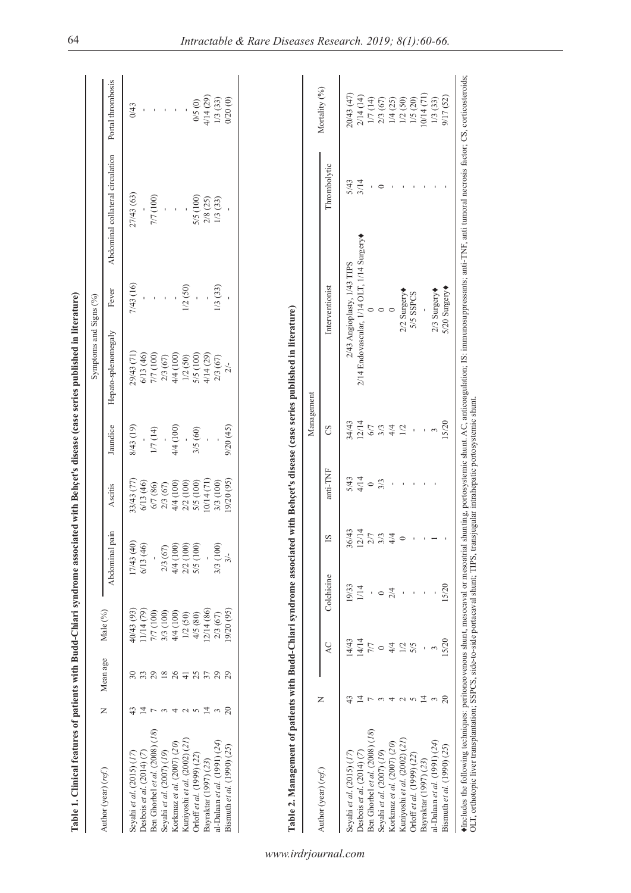| Table 1. Clinical features of patients with Budd-Chiari syndrome associated with Behçet's disease (case series published in literature) |                        |               |                     |                                                                    |                 |                       |                        |                                            |                                  |                         |
|-----------------------------------------------------------------------------------------------------------------------------------------|------------------------|---------------|---------------------|--------------------------------------------------------------------|-----------------|-----------------------|------------------------|--------------------------------------------|----------------------------------|-------------------------|
|                                                                                                                                         |                        |               |                     |                                                                    |                 |                       | Symptoms and Signs (%) |                                            |                                  |                         |
| Author (year) (ref.)                                                                                                                    | z                      | Mean age      | Male (%)            | Ξ<br>Abdominal pa                                                  | Ascitis         | Jaundice              | Hepato-splenomegaly    | Fever                                      | Abdominal collateral circulation | Portal thrombosis       |
| Seyahi et al. $(2015)$ $(17)$                                                                                                           |                        |               | 40/43 (93)          | 17/43 (40)                                                         | 33/43 (77)      | 8/43 (19)             | 29/43 (71)             | 7/43 (16)                                  | 27/43 (63)                       | 0/43                    |
| Desbois et al. $(2014)$ $(7)$                                                                                                           | $\overline{4}$         |               | 11/14(79)           | 6/13 (46)                                                          | 6/13 (46)       |                       | 6/13 (46)              |                                            |                                  |                         |
| Ben Ghorbel et al. (2008) (18)                                                                                                          |                        | 29            | 7/7 (100)           |                                                                    | 6/7 (86)        | 1/7(14)               | $7/7$ (100)            |                                            | 7/7 (100)                        | $\mathbf{u}$            |
| Seyahi et al. (2007) (19)                                                                                                               |                        | 18            | 3/3 (100)           | 2/3 (67)                                                           | 2/3 (67)        |                       | 2/3(67)                |                                            |                                  | $\mathcal{A}$           |
| Korkmaz et al. (2007) (20)                                                                                                              | 4                      | 26            | 4/4 (100)           | 4/4 (100)                                                          | 4/4 (100)       | 4/4 (100)             | 4/4 (100)              |                                            |                                  | $\mathbf{I}$            |
| Kuniyoshi et al. (2002) (21)                                                                                                            | $\sim$                 | $\frac{1}{4}$ | 1/2(50)             | 2/2(100)                                                           | 2/2 (100)       |                       | 1/2(50)                | 1/2(50)                                    |                                  |                         |
| Orloff et al. (1999) (22)                                                                                                               | $\sim$                 | 25            | 4/5 (80)            | 5/5 (100)                                                          | 5/5 (100)       | 3/5(60)               | 5/5 (100)              |                                            | 5/5 (100)                        |                         |
| Bayraktar (1997) (23)                                                                                                                   | $\overline{1}$         | 37            | 12/14 (86)          |                                                                    | 10/14(71)       |                       | 4/14 (29)              |                                            | 2/8 (25)                         | $0/5$ (0)<br>4/14 (29)  |
| al-Dalaan et al. (1991) (24)                                                                                                            | $\sim$                 | 29            | 2/3 (67)            | 3/3 (100)                                                          | 3/3 (100)       |                       | 2/3(67)                | 1/3 (33)                                   | 1/3 (33)                         | 1/3(33)                 |
| Bismuth et al. $(1990) (25)$                                                                                                            | 20                     | 29            | 9/20 (95)           |                                                                    | $(9/20)$ $(95)$ | 9/20(45)              |                        |                                            |                                  | 0/20(0)                 |
|                                                                                                                                         |                        |               |                     |                                                                    |                 |                       | Management             |                                            |                                  |                         |
| Author (year) (ref.)                                                                                                                    | z                      |               | Q                   | $\overline{\mathbf{S}}$<br>Colchicine                              | anti-TNF        | CS                    |                        | Interventionist                            | Thrombolytic                     | Mortality (%)           |
| Seyahi et al. (2015) (17)                                                                                                               |                        |               | 14/43               | 36/43<br>19/33                                                     | 5/43            | 34/43                 |                        | 2/43 Angioplasty, 1/43 TIPS                | 5/43                             | 20/43 (47)              |
| Desbois et al. $(2014)$ $(7)$                                                                                                           | $\overline{4}$         |               |                     | 1/14                                                               | 4/14            |                       |                        | 2/14 Endovascular, 1/14 OLT, 1/14 Surgery♦ | 3/14                             |                         |
| Ben Ghorbel et al. (2008) (18)                                                                                                          |                        |               | $\frac{14/14}{7/7}$ |                                                                    | $\circ$         |                       |                        | $\circ$                                    |                                  | $2/14(14)$<br>$1/7(14)$ |
| Seyahi et al. (2007) (19)                                                                                                               |                        |               | $\circ$             | $\frac{2}{3}$ $\frac{7}{3}$ $\frac{8}{3}$ $\frac{4}{4}$<br>$\circ$ | 3/3             | 1714<br>27247<br>1724 |                        | $\circ$ $\circ$                            | $\circ$                          |                         |
| Korkmaz et al. (2007) (20)                                                                                                              |                        |               |                     | 2/4                                                                | $\Gamma$ .      |                       |                        |                                            |                                  | $2/3$ (67)<br>1/4 (25)  |
| Kuniyoshi et al. (2002) (21)                                                                                                            | 400                    |               | $472\n72$           | $\circ$<br>$\mathbf{I}$                                            |                 |                       |                        | 2/2 Surgery♦                               |                                  | 1/2(50)                 |
| Orloff et al. (1999) (22)                                                                                                               |                        |               |                     |                                                                    | $\mathbf I$     | $\mathcal{A}$         |                        | 5/5 SSPCS                                  |                                  | 1/5(20)                 |
| Bayraktar (1997) (23)                                                                                                                   | $\frac{4}{4}$ $\alpha$ |               |                     |                                                                    |                 | Ê,                    |                        |                                            |                                  | 0/14(71)                |
| al-Dalaan et al. (1991) (24)                                                                                                            |                        |               |                     |                                                                    |                 | $\tilde{\mathcal{E}}$ |                        | $2/3$ Surgery                              |                                  | 1/3 (33)                |
| Bismuth et al. $(1990) (25)$                                                                                                            | $\overline{c}$         |               | 15/20               | 15/20                                                              |                 | 15/20                 |                        | 5/20 Surgery                               |                                  | 9/17 (52)               |

♦Includes the following techniques: peritoneovenous shunt, mesocaval or mesoatrial shunting, portosystemic shunt. AC, anticoagulation; IS: immunosuppressants; anti-TNF, anti tumoral necrosis factor; CS, corticosteroids;

♦Includes the following techniques: peritoneovenous shunt, mesocaval or mesoatrial shunting, portosystemic shunt. AC, anticoagulation; IS: immunosuppressants; anti-TNF, anti tumoral necrosis factor; CS, corticosteroids;<br>O

OLT, orthotopic liver transplantation; SSPCS, side-to-side portacaval shunt; TIPS, transjugular intrahepatic portosystemic shunt.

## *www.irdrjournal.com*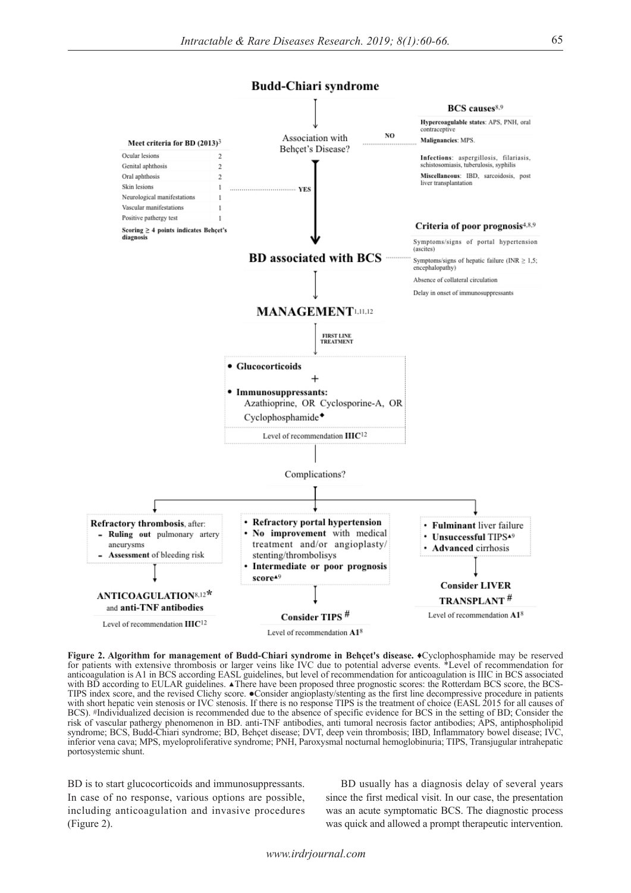

**Figure 2. Algorithm for management of Budd-Chiari syndrome in Behçet's disease.** ♦Cyclophosphamide may be reserved for patients with extensive thrombosis or larger veins like IVC due to potential adverse events. \*Level of recommendation for anticoagulation is A1 in BCS according EASL guidelines, but level of recommendation for anticoagulation is IIIC in BCS associated with BD according to EULAR guidelines. A There have been proposed three prognostic scores: the Rotterdam BCS score, the BCS-TIPS index score, and the revised Clichy score. ●Consider angioplasty/stenting as the first line decompressive procedure in patients with short hepatic vein stenosis or IVC stenosis. If there is no response TIPS is the treatment of choice (EASL 2015 for all causes of BCS). #Individualized decision is recommended due to the absence of specific evidence for BCS in the setting of BD; Consider the risk of vascular pathergy phenomenon in BD. anti-TNF antibodies, anti tumoral necrosis factor antibodies; APS, antiphospholipid syndrome; BCS, Budd-Chiari syndrome; BD, Behçet disease; DVT, deep vein thrombosis; IBD, Inflammatory bowel disease; IVC, inferior vena cava; MPS, myeloproliferative syndrome; PNH, Paroxysmal nocturnal hemoglobinuria; TIPS, Transjugular intrahepatic portosystemic shunt.

BD is to start glucocorticoids and immunosuppressants. In case of no response, various options are possible, including anticoagulation and invasive procedures (Figure 2).

BD usually has a diagnosis delay of several years since the first medical visit. In our case, the presentation was an acute symptomatic BCS. The diagnostic process was quick and allowed a prompt therapeutic intervention.

*www.irdrjournal.com*